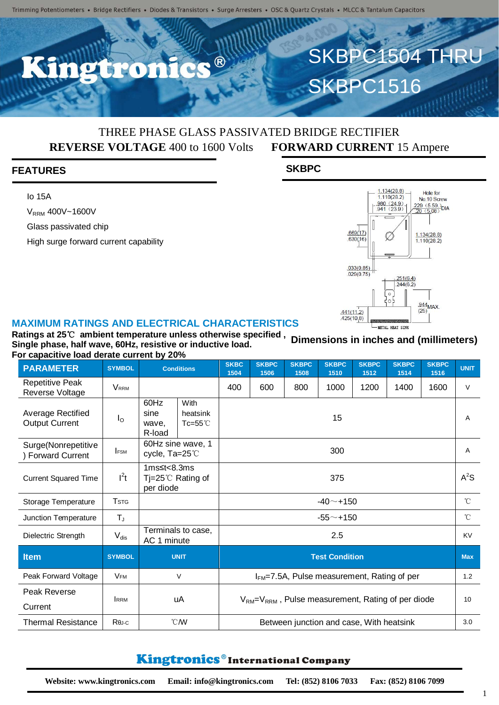R<sup>®</sup>

## THREE PHASE GLASS PASSIVATED BRIDGE RECTIFIER **REVERSE VOLTAGE** 400 to 1600 Volts **FORWARD CURRENT** 15 Ampere

#### **FEATURES**

Io 15A

V<sub>RRM</sub> 400V~1600V

Glass passivated chip

High surge forward current capability





SKBPC1504 THRU

**SKBPC1516** 

#### **MAXIMUM RATINGS AND ELECTRICAL CHARACTERISTICS**

**Ratings at 25**℃ **ambient temperature unless otherwise specified , Single phase, half wave, 60Hz, resistive or inductive load. For capacitive load derate current by 20% Dimensions in inches and (millimeters)**

| <b>PARAMETER</b>                                  | <b>SYMBOL</b>           | <b>Conditions</b>                                                 |  | <b>SKBC</b><br>1504                                 | <b>SKBPC</b><br>1506                     | <b>SKBPC</b><br>1508 | <b>SKBPC</b><br>1510 | <b>SKBPC</b><br>1512 | <b>SKBPC</b><br>1514 | <b>SKBPC</b><br>1516 | <b>UNIT</b>    |
|---------------------------------------------------|-------------------------|-------------------------------------------------------------------|--|-----------------------------------------------------|------------------------------------------|----------------------|----------------------|----------------------|----------------------|----------------------|----------------|
| <b>Repetitive Peak</b><br>Reverse Voltage         | <b>VRRM</b>             |                                                                   |  | 400                                                 | 600                                      | 800                  | 1000                 | 1200                 | 1400                 | 1600                 | $\vee$         |
| <b>Average Rectified</b><br><b>Output Current</b> | $I_{\rm O}$             | 60Hz<br>With<br>sine<br>heatsink<br>Tc=55 $°C$<br>wave,<br>R-load |  | 15                                                  |                                          |                      |                      |                      |                      |                      | $\overline{A}$ |
| Surge(Nonrepetitive<br><b>Forward Current</b>     | <b>FSM</b>              | 60Hz sine wave, 1<br>cycle, Ta=25°C                               |  | 300                                                 |                                          |                      |                      |                      |                      |                      | $\overline{A}$ |
| <b>Current Squared Time</b>                       | $l^2t$                  | $1ms \leq t < 8.3ms$<br>Ti=25℃ Rating of<br>per diode             |  | 375                                                 |                                          |                      |                      |                      |                      |                      | $A^2S$         |
| Storage Temperature                               | <b>T</b> <sub>STG</sub> |                                                                   |  | $-40$ $-$ +150                                      |                                          |                      |                      |                      |                      |                      | $^{\circ}$ C   |
| Junction Temperature                              | $T_{\rm J}$             |                                                                   |  | $-55 - + 150$                                       |                                          |                      |                      |                      |                      |                      | $^{\circ}$ C   |
| Dielectric Strength                               | $V_{dis}$               | Terminals to case,<br>AC 1 minute                                 |  | 2.5                                                 |                                          |                      |                      |                      |                      |                      | <b>KV</b>      |
| <b>Item</b>                                       | <b>SYMBOL</b>           | <b>UNIT</b>                                                       |  | <b>Test Condition</b>                               |                                          |                      |                      |                      |                      |                      | <b>Max</b>     |
| Peak Forward Voltage                              | <b>V<sub>FM</sub></b>   | V                                                                 |  | $IFM=7.5A$ , Pulse measurement, Rating of per       |                                          |                      |                      |                      |                      |                      | 1.2            |
| Peak Reverse<br>Current                           | <b>IRRM</b>             | uA                                                                |  | $VRM=VRRM$ , Pulse measurement, Rating of per diode |                                          |                      |                      |                      |                      |                      | 10             |
| <b>Thermal Resistance</b>                         | $R\theta$ J-C           | °C/W                                                              |  |                                                     | Between junction and case, With heatsink |                      |                      |                      |                      |                      |                |

### Kingtronics®International Company

1